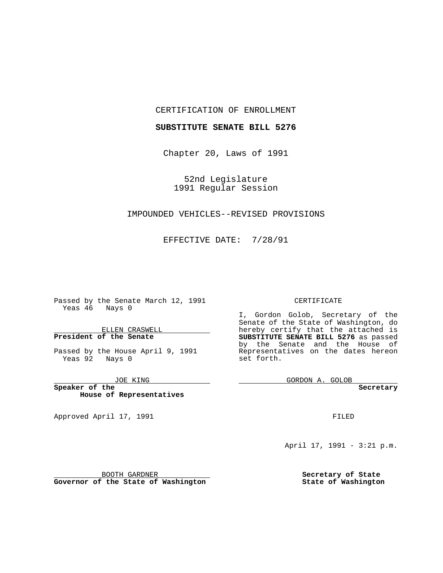#### CERTIFICATION OF ENROLLMENT

## **SUBSTITUTE SENATE BILL 5276**

Chapter 20, Laws of 1991

52nd Legislature 1991 Regular Session

# IMPOUNDED VEHICLES--REVISED PROVISIONS

## EFFECTIVE DATE: 7/28/91

Passed by the Senate March 12, 1991 Yeas 46 Nays 0

ELLEN CRASWELL **President of the Senate**

Passed by the House April 9, 1991 Yeas 92 Nays 0

JOE KING

the control of the control of

**Speaker of the House of Representatives**

Approved April 17, 1991

#### CERTIFICATE

I, Gordon Golob, Secretary of the Senate of the State of Washington, do hereby certify that the attached is **SUBSTITUTE SENATE BILL 5276** as passed by the Senate and the House of Representatives on the dates hereon set forth.

GORDON A. GOLOB

**Secretary**

FILED

April 17, 1991 - 3:21 p.m.

**Secretary of State State of Washington**

BOOTH GARDNER

**Governor of the State of Washington**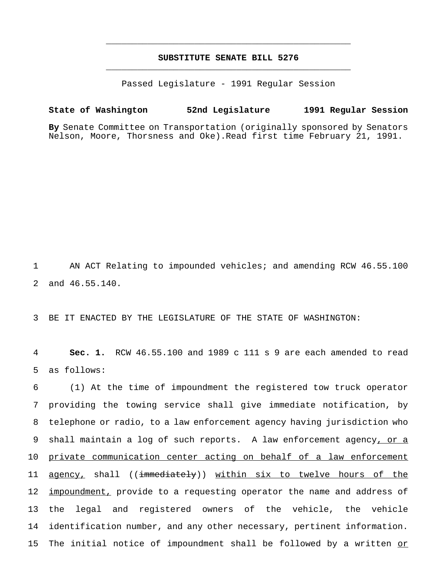## **SUBSTITUTE SENATE BILL 5276** \_\_\_\_\_\_\_\_\_\_\_\_\_\_\_\_\_\_\_\_\_\_\_\_\_\_\_\_\_\_\_\_\_\_\_\_\_\_\_\_\_\_\_\_\_\_\_

\_\_\_\_\_\_\_\_\_\_\_\_\_\_\_\_\_\_\_\_\_\_\_\_\_\_\_\_\_\_\_\_\_\_\_\_\_\_\_\_\_\_\_\_\_\_\_

Passed Legislature - 1991 Regular Session

**State of Washington 52nd Legislature 1991 Regular Session**

**By** Senate Committee on Transportation (originally sponsored by Senators Nelson, Moore, Thorsness and Oke).Read first time February 21, 1991.

1 AN ACT Relating to impounded vehicles; and amending RCW 46.55.100 2 and 46.55.140.

3 BE IT ENACTED BY THE LEGISLATURE OF THE STATE OF WASHINGTON:

4 **Sec. 1.** RCW 46.55.100 and 1989 c 111 s 9 are each amended to read 5 as follows:

6 (1) At the time of impoundment the registered tow truck operator 7 providing the towing service shall give immediate notification, by 8 telephone or radio, to a law enforcement agency having jurisdiction who 9 shall maintain a log of such reports. A law enforcement agency, or a 10 private communication center acting on behalf of a law enforcement 11 agency, shall ((immediately)) within six to twelve hours of the 12 impoundment, provide to a requesting operator the name and address of 13 the legal and registered owners of the vehicle, the vehicle 14 identification number, and any other necessary, pertinent information. 15 The initial notice of impoundment shall be followed by a written or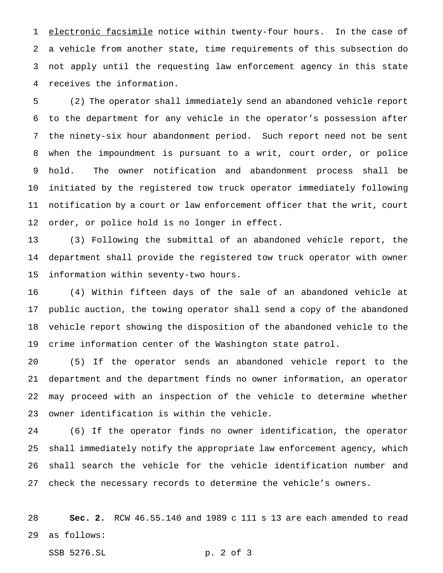1 electronic facsimile notice within twenty-four hours. In the case of a vehicle from another state, time requirements of this subsection do not apply until the requesting law enforcement agency in this state receives the information.

 (2) The operator shall immediately send an abandoned vehicle report to the department for any vehicle in the operator's possession after the ninety-six hour abandonment period. Such report need not be sent when the impoundment is pursuant to a writ, court order, or police hold. The owner notification and abandonment process shall be initiated by the registered tow truck operator immediately following notification by a court or law enforcement officer that the writ, court order, or police hold is no longer in effect.

 (3) Following the submittal of an abandoned vehicle report, the department shall provide the registered tow truck operator with owner information within seventy-two hours.

 (4) Within fifteen days of the sale of an abandoned vehicle at public auction, the towing operator shall send a copy of the abandoned vehicle report showing the disposition of the abandoned vehicle to the crime information center of the Washington state patrol.

 (5) If the operator sends an abandoned vehicle report to the department and the department finds no owner information, an operator may proceed with an inspection of the vehicle to determine whether owner identification is within the vehicle.

 (6) If the operator finds no owner identification, the operator shall immediately notify the appropriate law enforcement agency, which shall search the vehicle for the vehicle identification number and check the necessary records to determine the vehicle's owners.

 **Sec. 2.** RCW 46.55.140 and 1989 c 111 s 13 are each amended to read as follows:

SSB 5276.SL p. 2 of 3